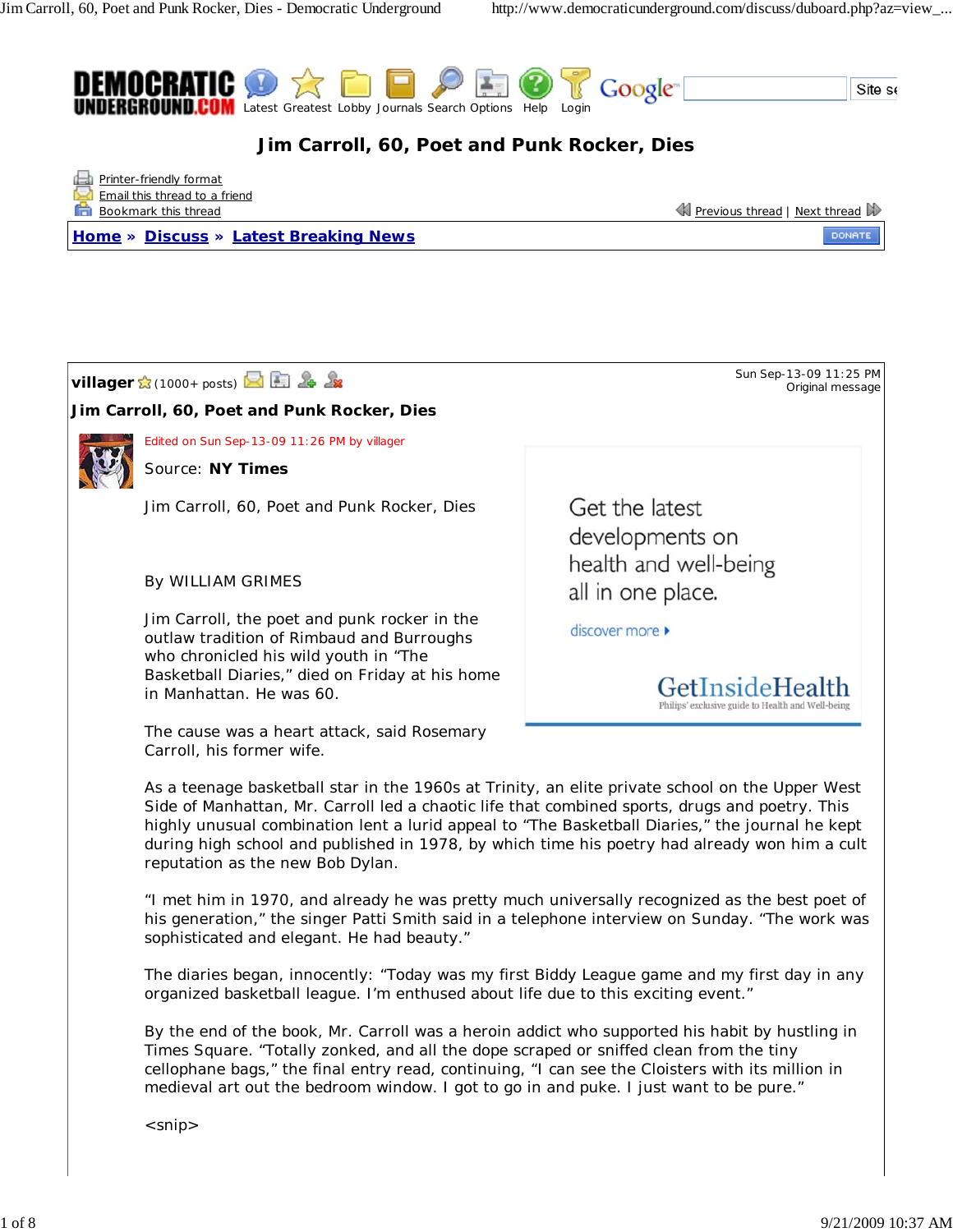

## **Jim Carroll, 60, Poet and Punk Rocker, Dies**

**Printer-friendly format**  Email this thread to a friend **Bookmark this thread** 

|  | M Previous thread   Next thread M |  |
|--|-----------------------------------|--|
|  |                                   |  |

**Home » Discuss » Latest Breaking News**

**DONATE** 

**villager**  $\frac{1}{2}$  (1000+ posts)  $\boxed{3}$   $\boxed{3}$   $\boxed{4}$   $\boxed{2}$   $\boxed{3}$ Original message **Jim Carroll, 60, Poet and Punk Rocker, Dies** Edited on Sun Sep-13-09 11:26 PM by villager Source: **NY Times** Get the latest Jim Carroll, 60, Poet and Punk Rocker, Dies developments on health and well-being By WILLIAM GRIMES all in one place. Jim Carroll, the poet and punk rocker in the discover more  $\blacktriangleright$ outlaw tradition of Rimbaud and Burroughs who chronicled his wild youth in "The Basketball Diaries," died on Friday at his home GetInsideHealth in Manhattan. He was 60. The cause was a heart attack, said Rosemary Carroll, his former wife. As a teenage basketball star in the 1960s at Trinity, an elite private school on the Upper West

Side of Manhattan, Mr. Carroll led a chaotic life that combined sports, drugs and poetry. This highly unusual combination lent a lurid appeal to "The Basketball Diaries," the journal he kept during high school and published in 1978, by which time his poetry had already won him a cult reputation as the new Bob Dylan.

"I met him in 1970, and already he was pretty much universally recognized as the best poet of his generation," the singer Patti Smith said in a telephone interview on Sunday. "The work was sophisticated and elegant. He had beauty."

The diaries began, innocently: "Today was my first Biddy League game and my first day in any organized basketball league. I'm enthused about life due to this exciting event."

By the end of the book, Mr. Carroll was a heroin addict who supported his habit by hustling in Times Square. "Totally zonked, and all the dope scraped or sniffed clean from the tiny cellophane bags," the final entry read, continuing, "I can see the Cloisters with its million in medieval art out the bedroom window. I got to go in and puke. I just want to be pure."

 $\langle$ snip $\rangle$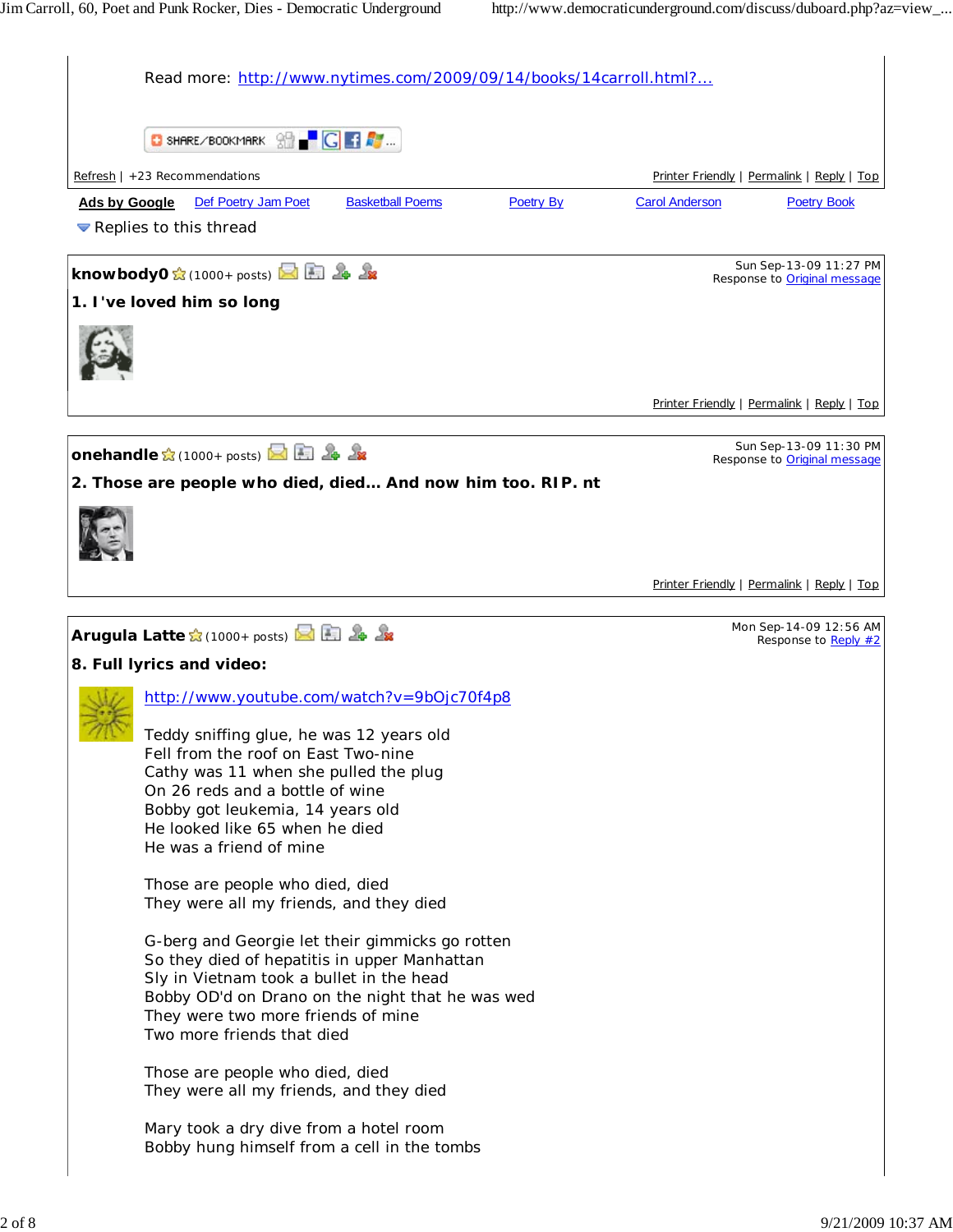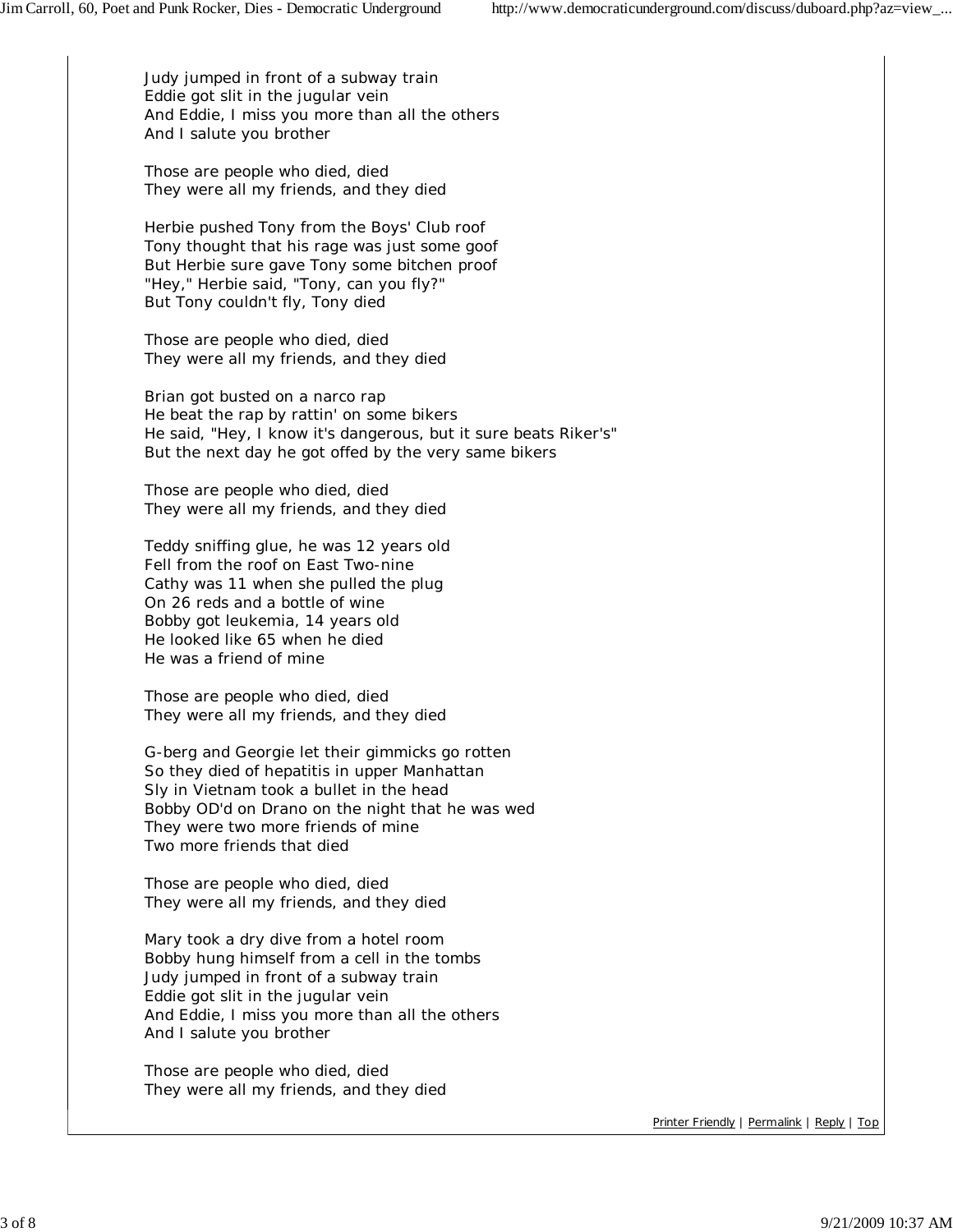Judy jumped in front of a subway train Eddie got slit in the jugular vein And Eddie, I miss you more than all the others And I salute you brother

Those are people who died, died They were all my friends, and they died

Herbie pushed Tony from the Boys' Club roof Tony thought that his rage was just some goof But Herbie sure gave Tony some bitchen proof "Hey," Herbie said, "Tony, can you fly?" But Tony couldn't fly, Tony died

Those are people who died, died They were all my friends, and they died

Brian got busted on a narco rap He beat the rap by rattin' on some bikers He said, "Hey, I know it's dangerous, but it sure beats Riker's" But the next day he got offed by the very same bikers

Those are people who died, died They were all my friends, and they died

Teddy sniffing glue, he was 12 years old Fell from the roof on East Two-nine Cathy was 11 when she pulled the plug On 26 reds and a bottle of wine Bobby got leukemia, 14 years old He looked like 65 when he died He was a friend of mine

Those are people who died, died They were all my friends, and they died

G-berg and Georgie let their gimmicks go rotten So they died of hepatitis in upper Manhattan Sly in Vietnam took a bullet in the head Bobby OD'd on Drano on the night that he was wed They were two more friends of mine Two more friends that died

Those are people who died, died They were all my friends, and they died

Mary took a dry dive from a hotel room Bobby hung himself from a cell in the tombs Judy jumped in front of a subway train Eddie got slit in the jugular vein And Eddie, I miss you more than all the others And I salute you brother

Those are people who died, died They were all my friends, and they died

Printer Friendly | Permalink | Reply | Top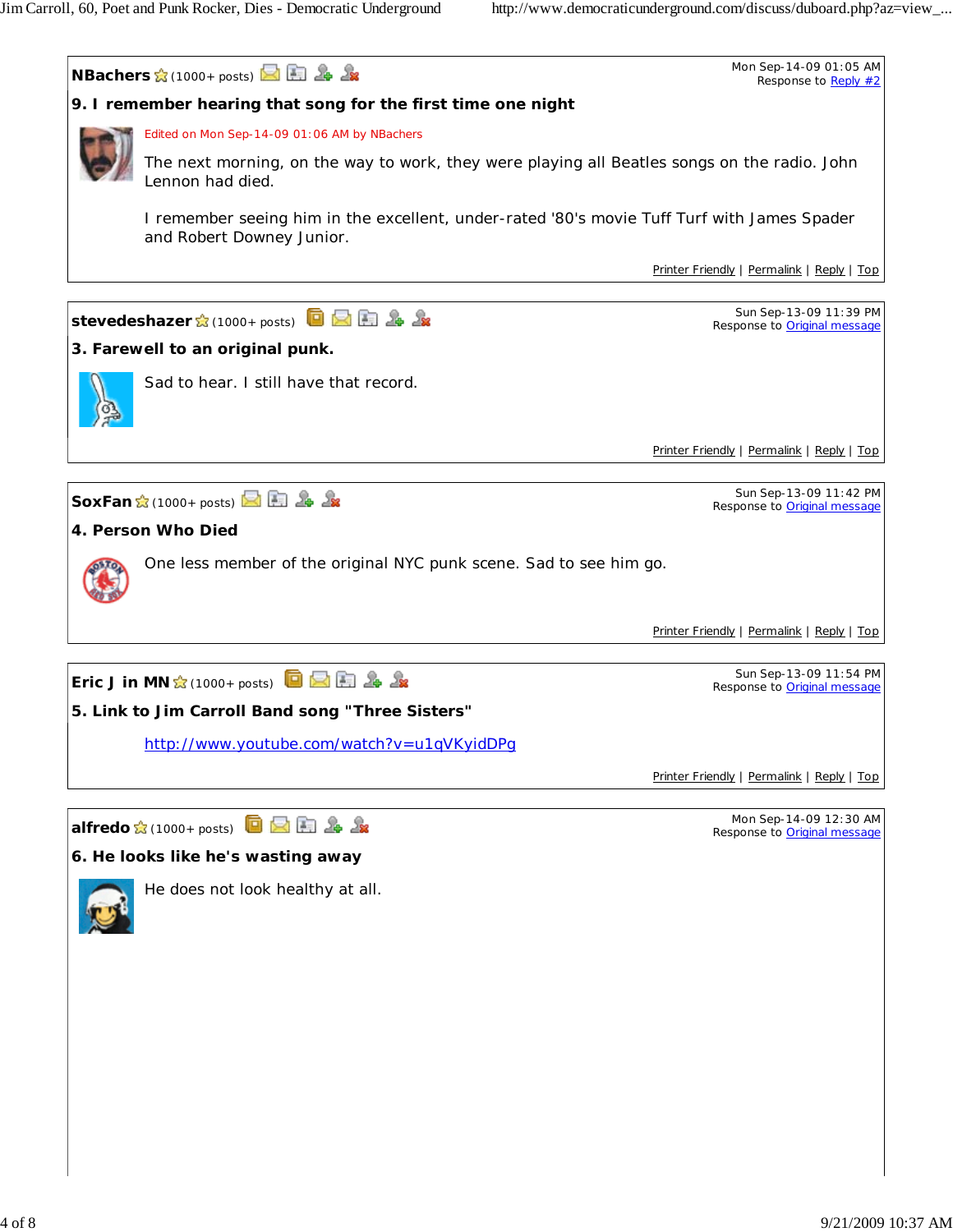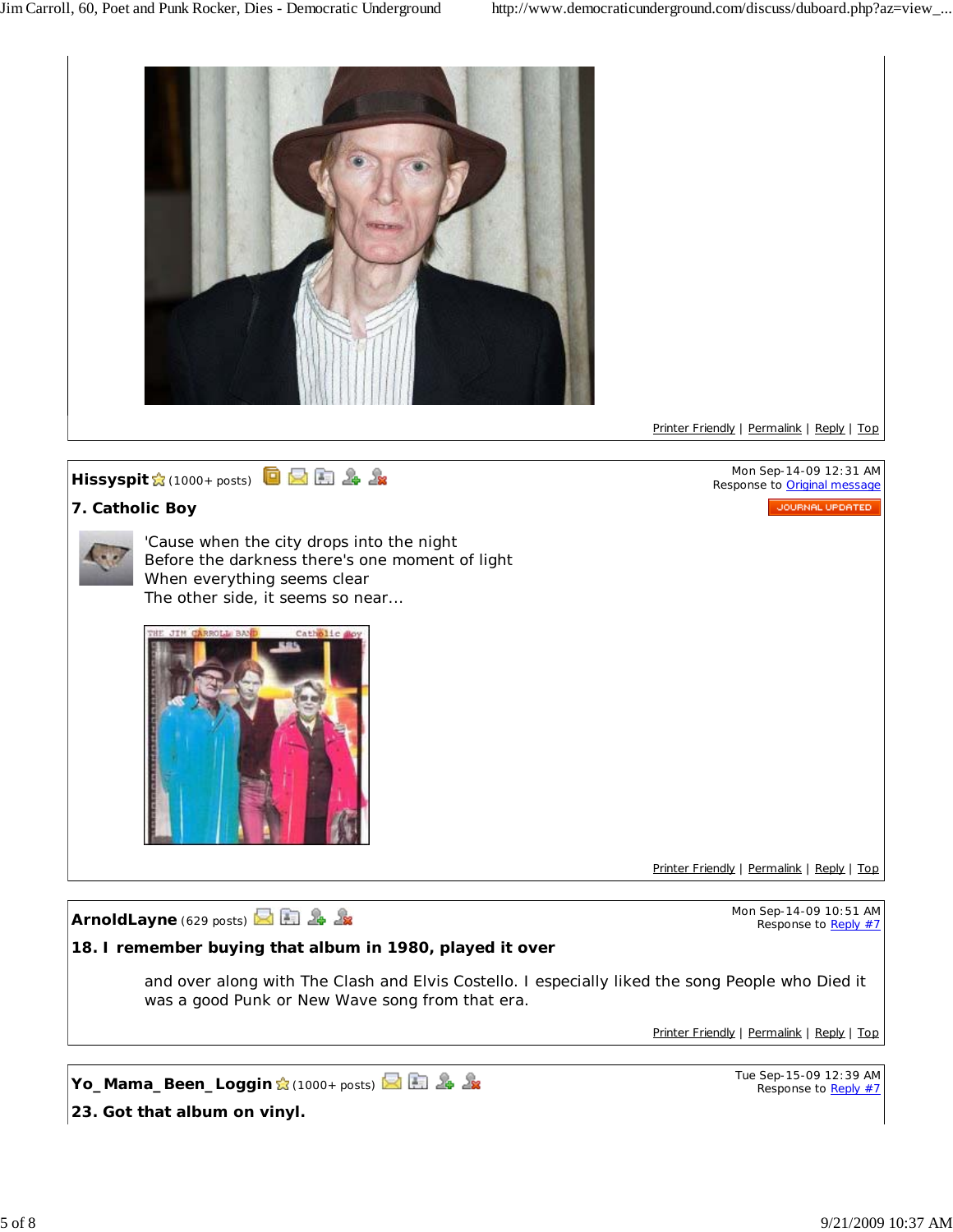

Printer Friendly | Permalink | Reply | Top

## **Hissyspit** (1000+ posts) Mon Sep-14-09 12:31 AM

## **7. Catholic Boy**



'Cause when the city drops into the night Before the darkness there's one moment of light When everything seems clear The other side, it seems so near...



JOURNAL UPDATED

Response to Original message

Printer Friendly | Permalink | Reply | Top

**ArnoldLayne** (629 posts) **Mon Sep-14-09 10:51 AM**<br>Response to Reply #7

## **18. I remember buying that album in 1980, played it over**

and over along with The Clash and Elvis Costello. I especially liked the song People who Died it was a good Punk or New Wave song from that era.

Printer Friendly | Permalink | Reply | Top

**Yo\_Mama\_Been\_Loggin**  $\frac{1}{2}$  (1000+ posts) **Tue Sep-15-09 12:39 AM** Tue Sep-15-09 12:39 AM

**23. Got that album on vinyl.**

Response to Reply #7

Response to Reply #7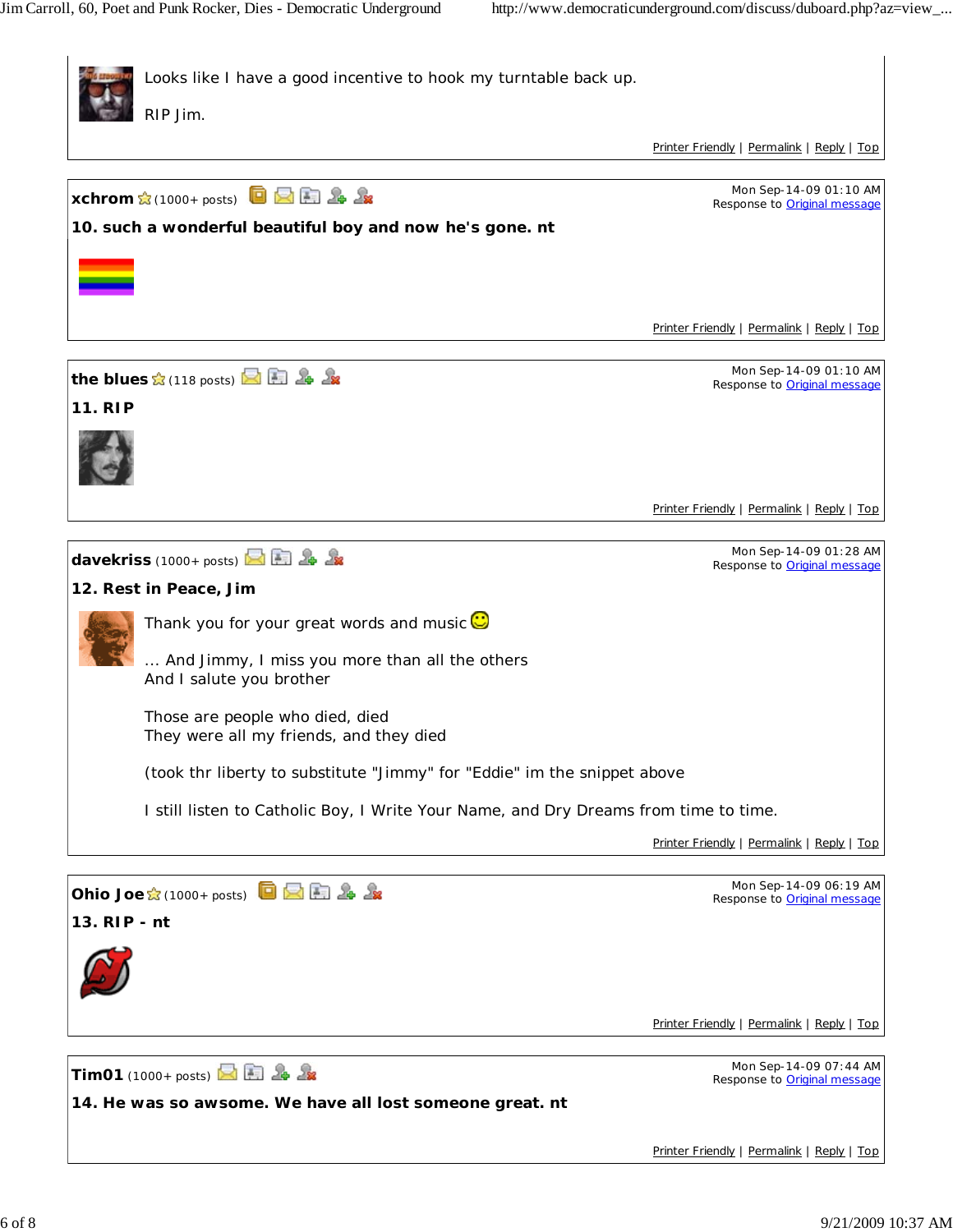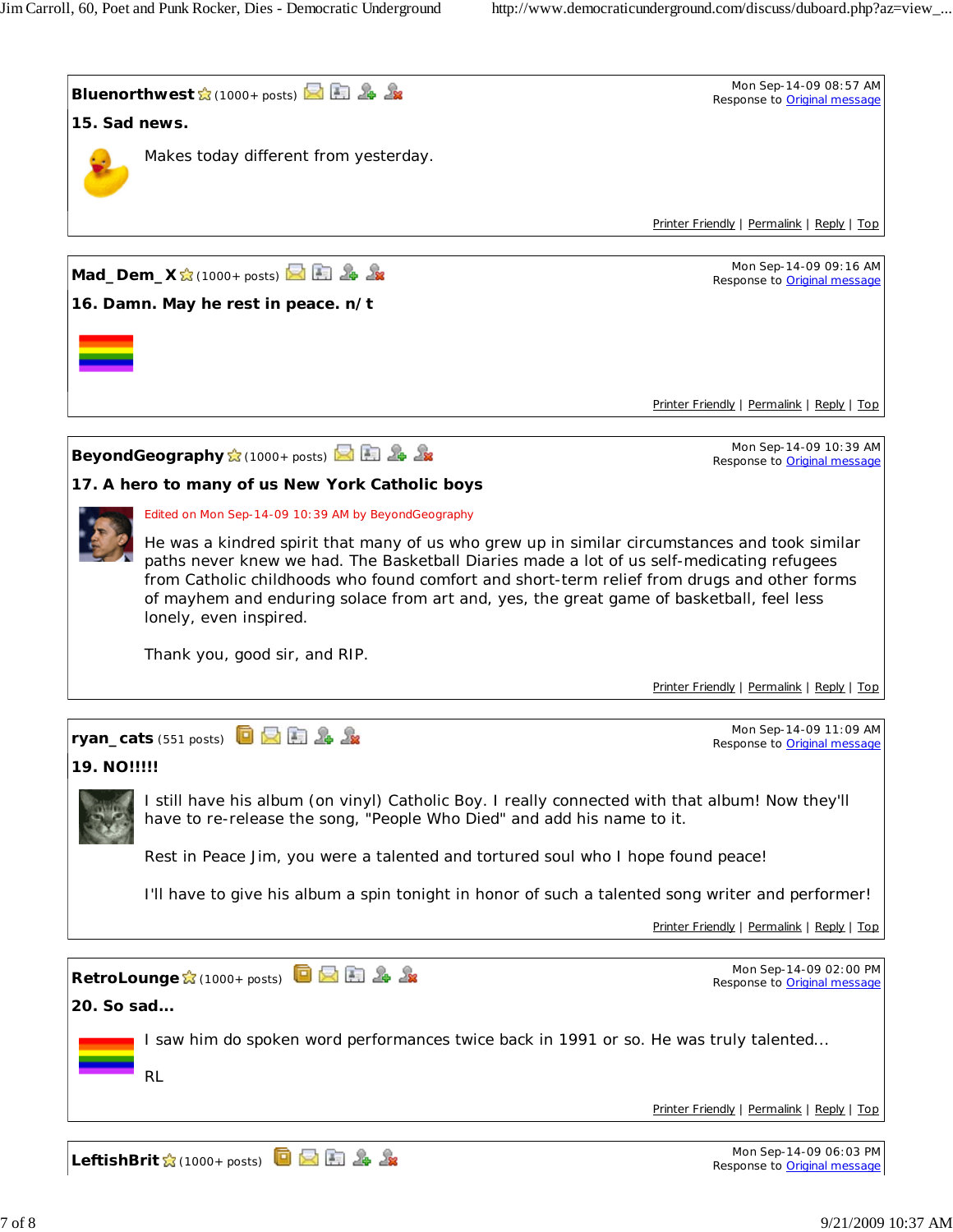